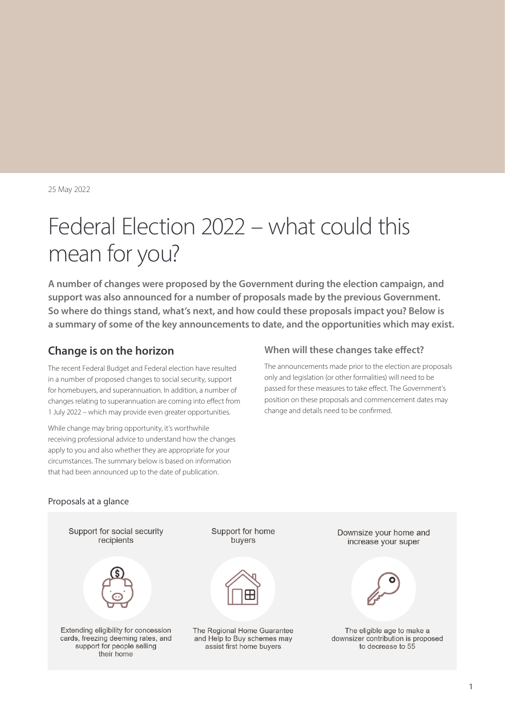25 May 2022

# Federal Election 2022 – what could this mean for you?

**A number of changes were proposed by the Government during the election campaign, and support was also announced for a number of proposals made by the previous Government. So where do things stand, what's next, and how could these proposals impact you? Below is a summary of some of the key announcements to date, and the opportunities which may exist.**

### **Change is on the horizon**

The recent Federal Budget and Federal election have resulted in a number of proposed changes to social security, support for homebuyers, and superannuation. In addition, a number of changes relating to superannuation are coming into effect from 1 July 2022 – which may provide even greater opportunities.

While change may bring opportunity, it's worthwhile receiving professional advice to understand how the changes apply to you and also whether they are appropriate for your circumstances. The summary below is based on information that had been announced up to the date of publication.

#### **When will these changes take effect?**

The announcements made prior to the election are proposals only and legislation (or other formalities) will need to be passed for these measures to take effect. The Government's position on these proposals and commencement dates may change and details need to be confirmed.

#### Proposals at a glance

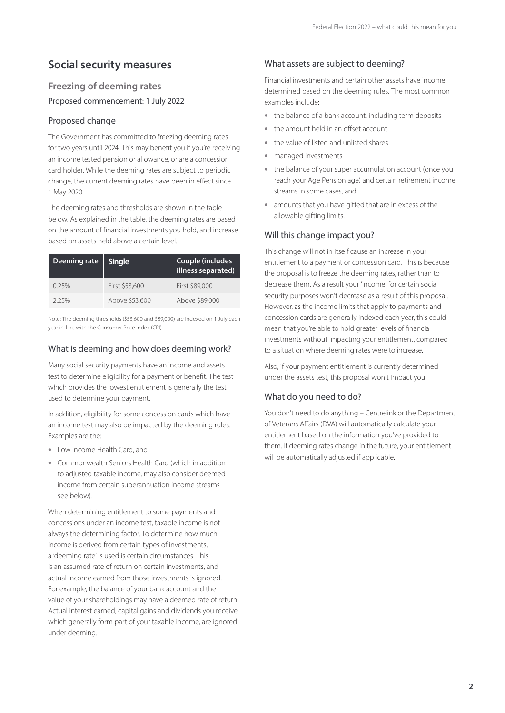# **Social security measures**

### **Freezing of deeming rates**

Proposed commencement: 1 July 2022

#### Proposed change

The Government has committed to freezing deeming rates for two years until 2024. This may benefit you if you're receiving an income tested pension or allowance, or are a concession card holder. While the deeming rates are subject to periodic change, the current deeming rates have been in effect since 1 May 2020.

The deeming rates and thresholds are shown in the table below. As explained in the table, the deeming rates are based on the amount of financial investments you hold, and increase based on assets held above a certain level.

| Deeming rate | <b>Single</b>  | Couple (includes<br>illness separated) |
|--------------|----------------|----------------------------------------|
| 0.25%        | First \$53,600 | First \$89,000                         |
| 2.25%        | Above \$53,600 | Above \$89,000                         |

Note: The deeming thresholds (\$53,600 and \$89,000) are indexed on 1 July each year in-line with the Consumer Price Index (CPI).

#### What is deeming and how does deeming work?

Many social security payments have an income and assets test to determine eligibility for a payment or benefit. The test which provides the lowest entitlement is generally the test used to determine your payment.

In addition, eligibility for some concession cards which have an income test may also be impacted by the deeming rules. Examples are the:

- Low Income Health Card, and
- Commonwealth Seniors Health Card (which in addition to adjusted taxable income, may also consider deemed income from certain superannuation income streamssee below).

When determining entitlement to some payments and concessions under an income test, taxable income is not always the determining factor. To determine how much income is derived from certain types of investments, a 'deeming rate' is used is certain circumstances. This is an assumed rate of return on certain investments, and actual income earned from those investments is ignored. For example, the balance of your bank account and the value of your shareholdings may have a deemed rate of return. Actual interest earned, capital gains and dividends you receive, which generally form part of your taxable income, are ignored under deeming.

### What assets are subject to deeming?

Financial investments and certain other assets have income determined based on the deeming rules. The most common examples include:

- the balance of a bank account, including term deposits
- the amount held in an offset account
- the value of listed and unlisted shares
- managed investments
- the balance of your super accumulation account (once you reach your Age Pension age) and certain retirement income streams in some cases, and
- amounts that you have gifted that are in excess of the allowable gifting limits.

#### Will this change impact you?

This change will not in itself cause an increase in your entitlement to a payment or concession card. This is because the proposal is to freeze the deeming rates, rather than to decrease them. As a result your 'income' for certain social security purposes won't decrease as a result of this proposal. However, as the income limits that apply to payments and concession cards are generally indexed each year, this could mean that you're able to hold greater levels of financial investments without impacting your entitlement, compared to a situation where deeming rates were to increase.

Also, if your payment entitlement is currently determined under the assets test, this proposal won't impact you.

#### What do you need to do?

You don't need to do anything – Centrelink or the Department of Veterans Affairs (DVA) will automatically calculate your entitlement based on the information you've provided to them. If deeming rates change in the future, your entitlement will be automatically adjusted if applicable.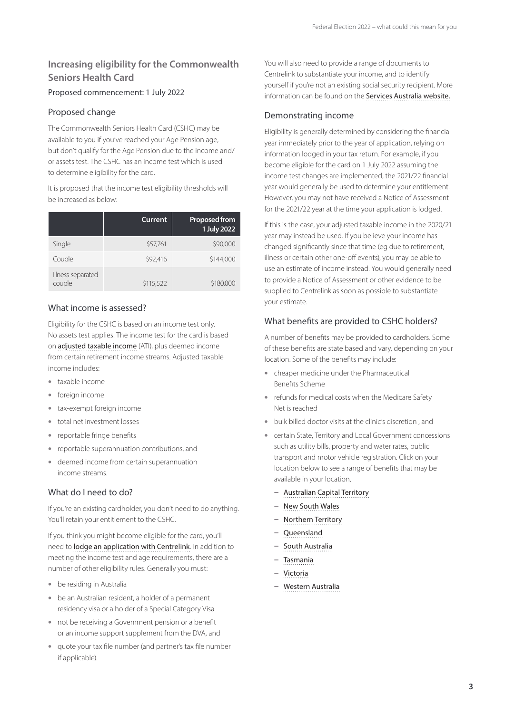### **Increasing eligibility for the Commonwealth Seniors Health Card**

#### Proposed commencement: 1 July 2022

#### Proposed change

The Commonwealth Seniors Health Card (CSHC) may be available to you if you've reached your Age Pension age, but don't qualify for the Age Pension due to the income and/ or assets test. The CSHC has an income test which is used to determine eligibility for the card.

It is proposed that the income test eligibility thresholds will be increased as below:

|                             | <b>Current</b> | <b>Proposed from</b><br>1 July 2022 |
|-----------------------------|----------------|-------------------------------------|
| Single                      | \$57,761       | \$90,000                            |
| Couple                      | \$92,416       | \$144,000                           |
| Illness-separated<br>couple | \$115,522      | \$180,000                           |

#### What income is assessed?

Eligibility for the CSHC is based on an income test only. No assets test applies. The income test for the card is based on [adjusted taxable income](https://www.humanservices.gov.au/individuals/topics/what-adjusted-taxable-income/29571) (ATI), plus deemed income from certain retirement income streams. Adjusted taxable income includes:

- taxable income
- foreign income
- tax-exempt foreign income
- total net investment losses
- reportable fringe benefits
- reportable superannuation contributions, and
- deemed income from certain superannuation income streams.

#### What do I need to do?

If you're an existing cardholder, you don't need to do anything. You'll retain your entitlement to the CSHC.

If you think you might become eligible for the card, you'll need to [lodge an application with Centrelink](https://www.servicesaustralia.gov.au/sa296). In addition to meeting the income test and age requirements, there are a number of other eligibility rules. Generally you must:

- be residing in Australia
- be an Australian resident, a holder of a permanent residency visa or a holder of a Special Category Visa
- not be receiving a Government pension or a benefit or an income support supplement from the DVA, and
- quote your tax file number (and partner's tax file number if applicable).

You will also need to provide a range of documents to Centrelink to substantiate your income, and to identify yourself if you're not an existing social security recipient. More information can be found on the [Services Australia website.](https://www.servicesaustralia.gov.au/supporting-documents-for-your-centrelink-claim?context=21966)

#### Demonstrating income

Eligibility is generally determined by considering the financial year immediately prior to the year of application, relying on information lodged in your tax return. For example, if you become eligible for the card on 1 July 2022 assuming the income test changes are implemented, the 2021/22 financial year would generally be used to determine your entitlement. However, you may not have received a Notice of Assessment for the 2021/22 year at the time your application is lodged.

If this is the case, your adjusted taxable income in the 2020/21 year may instead be used. If you believe your income has changed significantly since that time (eg due to retirement, illness or certain other one-off events), you may be able to use an estimate of income instead. You would generally need to provide a Notice of Assessment or other evidence to be supplied to Centrelink as soon as possible to substantiate your estimate.

### What benefits are provided to CSHC holders?

A number of benefits may be provided to cardholders. Some of these benefits are state based and vary, depending on your location. Some of the benefits may include:

- cheaper medicine under the Pharmaceutical Benefits Scheme
- refunds for medical costs when the Medicare Safety Net is reached
- bulk billed doctor visits at the clinic's discretion , and
- certain State, Territory and Local Government concessions such as utility bills, property and water rates, public transport and motor vehicle registration. Click on your location below to see a range of benefits that may be available in your location.
	- **–** [Australian Capital Territory](https://www.act.gov.au/assistance?)
	- **–** [New South Wales](https://www.nsw.gov.au/services/services-by-topic/community-support/applying-for-concessions/)
	- **–** [Northern Territory](https://nt.gov.au/community/seniors/nt-pensioner-and-carer-concession-scheme)
	- **–** [Queensland](https://www.qld.gov.au/community/cost-of-living-support/concessions)
	- **–** [South Australia](https://dhs.sa.gov.au/concessions)
	- **–** [Tasmania](http://www.concessions.tas.gov.au/)
	- **–** [Victoria](https://services.dhhs.vic.gov.au/concessions-eligibility-calculator)
	- **–** [Western Australia](https://concessions.communities.wa.gov.au/Pages/default.aspx)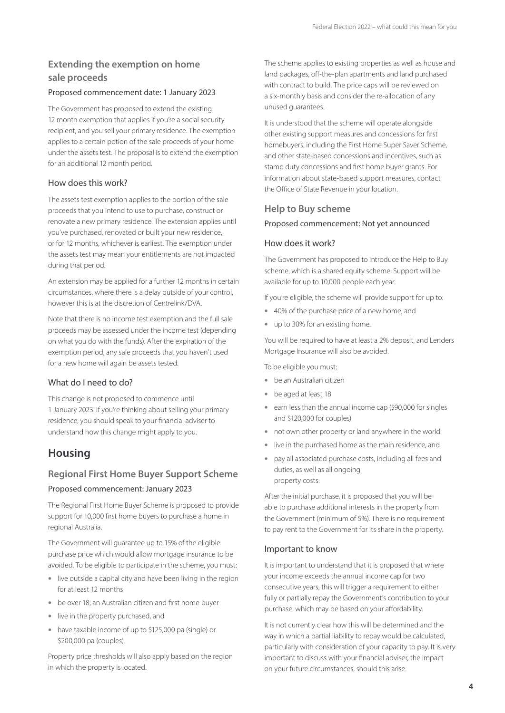### **Extending the exemption on home sale proceeds**

#### Proposed commencement date: 1 January 2023

The Government has proposed to extend the existing 12 month exemption that applies if you're a social security recipient, and you sell your primary residence. The exemption applies to a certain potion of the sale proceeds of your home under the assets test. The proposal is to extend the exemption for an additional 12 month period.

#### How does this work?

The assets test exemption applies to the portion of the sale proceeds that you intend to use to purchase, construct or renovate a new primary residence. The extension applies until you've purchased, renovated or built your new residence, or for 12 months, whichever is earliest. The exemption under the assets test may mean your entitlements are not impacted during that period.

An extension may be applied for a further 12 months in certain circumstances, where there is a delay outside of your control, however this is at the discretion of Centrelink/DVA.

Note that there is no income test exemption and the full sale proceeds may be assessed under the income test (depending on what you do with the funds). After the expiration of the exemption period, any sale proceeds that you haven't used for a new home will again be assets tested.

#### What do I need to do?

This change is not proposed to commence until 1 January 2023. If you're thinking about selling your primary residence, you should speak to your financial adviser to understand how this change might apply to you.

### **Housing**

### **Regional First Home Buyer Support Scheme**

#### Proposed commencement: January 2023

The Regional First Home Buyer Scheme is proposed to provide support for 10,000 first home buyers to purchase a home in regional Australia.

The Government will guarantee up to 15% of the eligible purchase price which would allow mortgage insurance to be avoided. To be eligible to participate in the scheme, you must:

- live outside a capital city and have been living in the region for at least 12 months
- be over 18, an Australian citizen and first home buyer
- live in the property purchased, and
- have taxable income of up to \$125,000 pa (single) or \$200,000 pa (couples).

Property price thresholds will also apply based on the region in which the property is located.

The scheme applies to existing properties as well as house and land packages, off-the-plan apartments and land purchased with contract to build. The price caps will be reviewed on a six-monthly basis and consider the re-allocation of any unused guarantees.

It is understood that the scheme will operate alongside other existing support measures and concessions for first homebuyers, including the First Home Super Saver Scheme, and other state-based concessions and incentives, such as stamp duty concessions and first home buyer grants. For information about state-based support measures, contact the Office of State Revenue in your location.

#### **Help to Buy scheme**

#### Proposed commencement: Not yet announced

#### How does it work?

The Government has proposed to introduce the Help to Buy scheme, which is a shared equity scheme. Support will be available for up to 10,000 people each year.

If you're eligible, the scheme will provide support for up to:

- 40% of the purchase price of a new home, and
- up to 30% for an existing home.

You will be required to have at least a 2% deposit, and Lenders Mortgage Insurance will also be avoided.

To be eligible you must:

- be an Australian citizen
- be aged at least 18
- earn less than the annual income cap (\$90,000 for singles and \$120,000 for couples)
- not own other property or land anywhere in the world
- live in the purchased home as the main residence, and
- pay all associated purchase costs, including all fees and duties, as well as all ongoing property costs.

After the initial purchase, it is proposed that you will be able to purchase additional interests in the property from the Government (minimum of 5%). There is no requirement to pay rent to the Government for its share in the property.

#### Important to know

It is important to understand that it is proposed that where your income exceeds the annual income cap for two consecutive years, this will trigger a requirement to either fully or partially repay the Government's contribution to your purchase, which may be based on your affordability.

It is not currently clear how this will be determined and the way in which a partial liability to repay would be calculated, particularly with consideration of your capacity to pay. It is very important to discuss with your financial adviser, the impact on your future circumstances, should this arise.